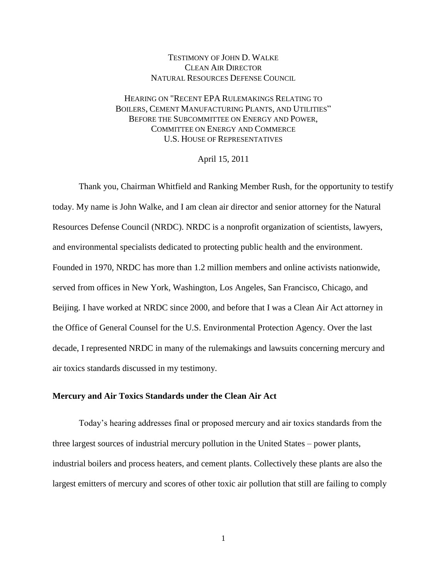## TESTIMONY OF JOHN D. WALKE CLEAN AIR DIRECTOR NATURAL RESOURCES DEFENSE COUNCIL

# HEARING ON "RECENT EPA RULEMAKINGS RELATING TO BOILERS, CEMENT MANUFACTURING PLANTS, AND UTILITIES" BEFORE THE SUBCOMMITTEE ON ENERGY AND POWER, COMMITTEE ON ENERGY AND COMMERCE U.S. HOUSE OF REPRESENTATIVES

April 15, 2011

Thank you, Chairman Whitfield and Ranking Member Rush, for the opportunity to testify today. My name is John Walke, and I am clean air director and senior attorney for the Natural Resources Defense Council (NRDC). NRDC is a nonprofit organization of scientists, lawyers, and environmental specialists dedicated to protecting public health and the environment. Founded in 1970, NRDC has more than 1.2 million members and online activists nationwide, served from offices in New York, Washington, Los Angeles, San Francisco, Chicago, and Beijing. I have worked at NRDC since 2000, and before that I was a Clean Air Act attorney in the Office of General Counsel for the U.S. Environmental Protection Agency. Over the last decade, I represented NRDC in many of the rulemakings and lawsuits concerning mercury and air toxics standards discussed in my testimony.

### **Mercury and Air Toxics Standards under the Clean Air Act**

Today's hearing addresses final or proposed mercury and air toxics standards from the three largest sources of industrial mercury pollution in the United States – power plants, industrial boilers and process heaters, and cement plants. Collectively these plants are also the largest emitters of mercury and scores of other toxic air pollution that still are failing to comply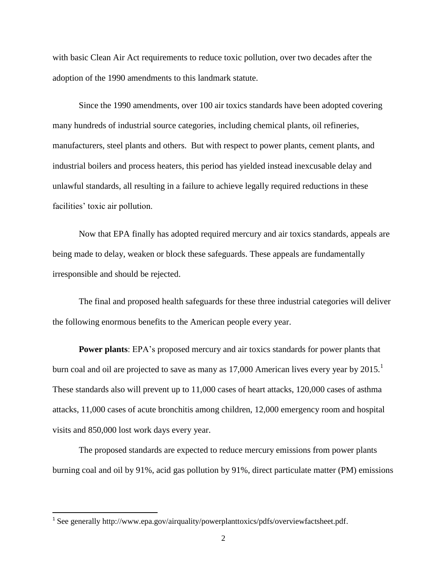with basic Clean Air Act requirements to reduce toxic pollution, over two decades after the adoption of the 1990 amendments to this landmark statute.

Since the 1990 amendments, over 100 air toxics standards have been adopted covering many hundreds of industrial source categories, including chemical plants, oil refineries, manufacturers, steel plants and others. But with respect to power plants, cement plants, and industrial boilers and process heaters, this period has yielded instead inexcusable delay and unlawful standards, all resulting in a failure to achieve legally required reductions in these facilities' toxic air pollution.

Now that EPA finally has adopted required mercury and air toxics standards, appeals are being made to delay, weaken or block these safeguards. These appeals are fundamentally irresponsible and should be rejected.

The final and proposed health safeguards for these three industrial categories will deliver the following enormous benefits to the American people every year.

**Power plants**: EPA's [proposed mercury and air toxics standards](http://www.epa.gov/airquality/powerplanttoxics/actions.html) for power plants that burn coal and oil are projected to save as many as  $17,000$  American lives every year by  $2015$ . These standards also will prevent up to 11,000 cases of heart attacks, 120,000 cases of asthma attacks, 11,000 cases of acute bronchitis among children, 12,000 emergency room and hospital visits and 850,000 lost work days every year.

The proposed standards are expected to reduce mercury emissions from power plants burning coal and oil by 91%, acid gas pollution by 91%, direct particulate matter (PM) emissions

<sup>&</sup>lt;sup>1</sup> See generally [http://www.epa.gov/airquality/powerplanttoxics/pdfs/overviewfactsheet.pdf.](http://www.epa.gov/airquality/powerplanttoxics/pdfs/overviewfactsheet.pdf)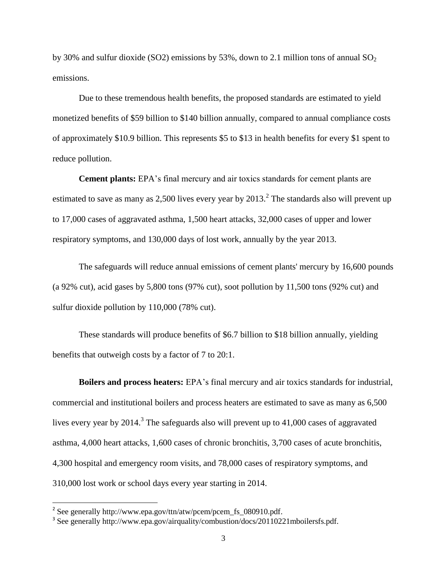by 30% and sulfur dioxide (SO2) emissions by 53%, down to 2.1 million tons of annual  $SO<sub>2</sub>$ [emissions.](http://www.epa.gov/airquality/powerplanttoxics/pdfs/proposal.pdf)

Due to these tremendous health benefits, the proposed standards are estimated to yield monetized benefits of \$59 billion to \$140 billion annually, compared to annual compliance costs of approximately \$10.9 billion. This represents \$5 to \$13 in health benefits for every \$1 spent to reduce pollution.

**Cement plants:** EPA's final mercury and air toxics standards for cement plants are estimated to save as many as 2,500 lives every year by  $2013.<sup>2</sup>$  The standards also will prevent up to 17,000 cases of aggravated asthma, 1,500 heart attacks, 32,000 cases of upper and lower respiratory symptoms, and 130,000 days of lost work, annually by the year 2013.

The safeguards will reduce annual emissions of cement plants' mercury by 16,600 pounds (a 92% cut), acid gases by 5,800 tons (97% cut), soot pollution by 11,500 tons (92% cut) and sulfur dioxide pollution by 110,000 (78% cut).

These standards will produce benefits of \$6.7 billion to \$18 billion annually, yielding benefits that outweigh costs by a factor of 7 to 20:1.

**Boilers and process heaters:** EPA's [final mercury and air toxics standards for industrial,](file:///C:/Documents%20and%20Settings/jwalke/Local%20Settings/Temporary%20Internet%20Files/Content.Outlook/PFPE5HO8/final%20mercury%20and%20air%20toxics%20standards%20for%20industrial,%20commercial%20and%20institutional%20boilers%20and%20process%20heaters%20are%20estimated%20to%20save%20as%20many%20as%206,500%20lives%20every%20year%20by%202014.%20See%20generally%20http:/www.epa.gov/airquality/combustion/docs/20110221mboilersfs.pdf.)  [commercial and institutional boilers and process heaters are estimated to save as many as 6,500](file:///C:/Documents%20and%20Settings/jwalke/Local%20Settings/Temporary%20Internet%20Files/Content.Outlook/PFPE5HO8/final%20mercury%20and%20air%20toxics%20standards%20for%20industrial,%20commercial%20and%20institutional%20boilers%20and%20process%20heaters%20are%20estimated%20to%20save%20as%20many%20as%206,500%20lives%20every%20year%20by%202014.%20See%20generally%20http:/www.epa.gov/airquality/combustion/docs/20110221mboilersfs.pdf.)  [lives every year by](file:///C:/Documents%20and%20Settings/jwalke/Local%20Settings/Temporary%20Internet%20Files/Content.Outlook/PFPE5HO8/final%20mercury%20and%20air%20toxics%20standards%20for%20industrial,%20commercial%20and%20institutional%20boilers%20and%20process%20heaters%20are%20estimated%20to%20save%20as%20many%20as%206,500%20lives%20every%20year%20by%202014.%20See%20generally%20http:/www.epa.gov/airquality/combustion/docs/20110221mboilersfs.pdf.) 2014.<sup>3</sup> The safeguards also will prevent up to  $41,000$  cases of aggravated asthma, 4,000 heart attacks, 1,600 cases of chronic bronchitis, 3,700 cases of acute bronchitis, 4,300 hospital and emergency room visits, and 78,000 cases of respiratory symptoms, and 310,000 lost work or school days every year starting in 2014.

 2 See generally [http://www.epa.gov/ttn/atw/pcem/pcem\\_fs\\_080910.pdf.](http://www.epa.gov/ttn/atw/pcem/pcem_fs_080910.pdf)

<sup>&</sup>lt;sup>3</sup> See generally http://www.epa.gov/airquality/combustion/docs/20110221mboilersfs.pdf.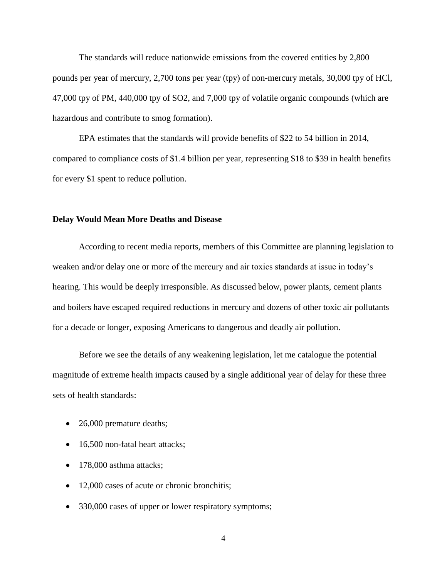The standards will reduce nationwide emissions from the covered entities by 2,800 pounds per year of mercury, 2,700 tons per year (tpy) of non-mercury metals, 30,000 tpy of HCl, 47,000 tpy of PM, 440,000 tpy of SO2, and 7,000 tpy of volatile organic compounds (which are hazardous and contribute to smog formation).

EPA estimates that the standards will provide benefits of \$22 to 54 billion in 2014, compared to compliance costs of \$1.4 billion per year, representing \$18 to \$39 in health benefits for every \$1 spent to reduce pollution.

### **Delay Would Mean More Deaths and Disease**

According to recent media reports, members of this Committee are planning legislation to weaken and/or delay one or more of the mercury and air toxics standards at issue in today's hearing. This would be deeply irresponsible. As discussed below, power plants, cement plants and boilers have escaped required reductions in mercury and dozens of other toxic air pollutants for a decade or longer, exposing Americans to dangerous and deadly air pollution.

Before we see the details of any weakening legislation, let me catalogue the potential magnitude of extreme health impacts caused by a single additional year of delay for these three sets of health standards:

- 26,000 premature deaths;
- 16,500 non-fatal heart attacks;
- 178,000 asthma attacks;
- 12,000 cases of acute or chronic bronchitis;
- 330,000 cases of upper or lower respiratory symptoms;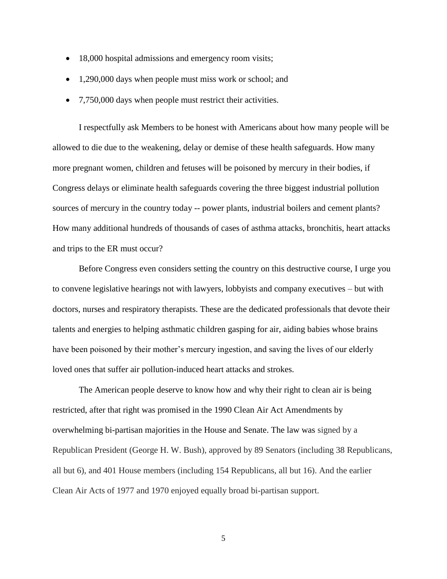- 18,000 hospital admissions and emergency room visits;
- 1,290,000 days when people must miss work or school; and
- 7,750,000 days when people must restrict their activities.

I respectfully ask Members to be honest with Americans about how many people will be allowed to die due to the weakening, delay or demise of these health safeguards. How many more pregnant women, children and fetuses will be poisoned by mercury in their bodies, if Congress delays or eliminate health safeguards covering the three biggest industrial pollution sources of mercury in the country today -- power plants, industrial boilers and cement plants? How many additional hundreds of thousands of cases of asthma attacks, bronchitis, heart attacks and trips to the ER must occur?

Before Congress even considers setting the country on this destructive course, I urge you to convene legislative hearings not with lawyers, lobbyists and company executives – but with doctors, nurses and respiratory therapists. These are the dedicated professionals that devote their talents and energies to helping asthmatic children gasping for air, aiding babies whose brains have been poisoned by their mother's mercury ingestion, and saving the lives of our elderly loved ones that suffer air pollution-induced heart attacks and strokes.

The American people deserve to know how and why their right to clean air is being restricted, after that right was promised in the 1990 Clean Air Act Amendments by overwhelming bi-partisan majorities in the House and Senate. The law was signed by a Republican President (George H. W. Bush), approved by 89 Senators (including 38 Republicans, all but 6), and 401 House members (including 154 Republicans, all but 16). And the earlier Clean Air Acts of 1977 and 1970 enjoyed equally broad bi-partisan support.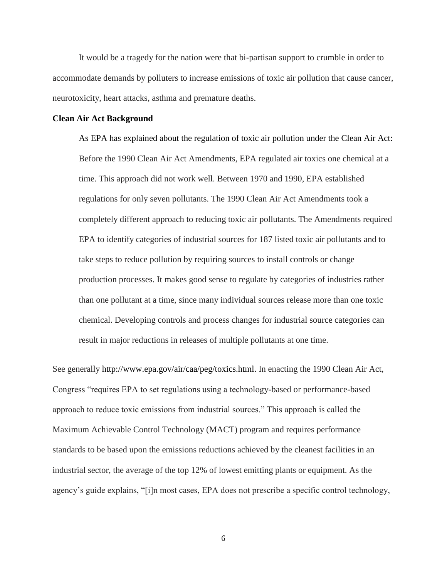It would be a tragedy for the nation were that bi-partisan support to crumble in order to accommodate demands by polluters to increase emissions of toxic air pollution that cause cancer, neurotoxicity, heart attacks, asthma and premature deaths.

### **Clean Air Act Background**

As EPA has explained about the regulation of toxic air pollution under the Clean Air Act: Before the 1990 Clean Air Act Amendments, EPA regulated air toxics one chemical at a time. This approach did not work well. Between 1970 and 1990, EPA established regulations for only seven pollutants. The 1990 Clean Air Act Amendments took a completely different approach to reducing toxic air pollutants. The Amendments required EPA to identify categories of industrial sources for 187 listed toxic air pollutants and to take steps to reduce pollution by requiring sources to install controls or change production processes. It makes good sense to regulate by categories of industries rather than one pollutant at a time, since many individual sources release more than one toxic chemical. Developing controls and process changes for industrial source categories can result in major reductions in releases of multiple pollutants at one time.

See generally [http://www.epa.gov/air/caa/peg/toxics.html.](http://www.epa.gov/air/caa/peg/toxics.html) In enacting the 1990 Clean Air Act, Congress "requires EPA to set regulations using a technology-based or performance-based approach to reduce toxic emissions from industrial sources." This approach is called the Maximum Achievable Control Technology (MACT) program and requires performance standards to be based upon the emissions reductions achieved by the cleanest facilities in an industrial sector, the average of the top 12% of lowest emitting plants or equipment. As the agency's guide explains, "[i]n most cases, EPA does not prescribe a specific control technology,

6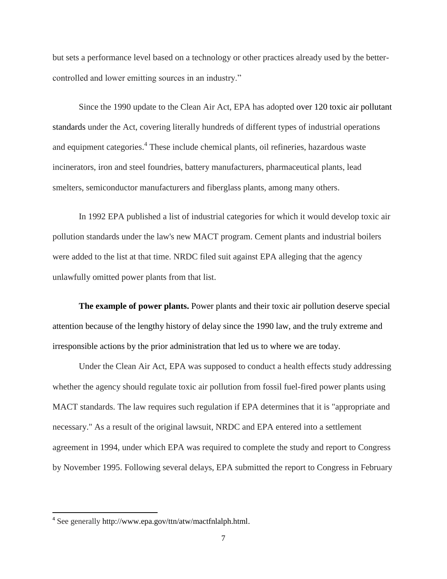but sets a performance level based on a technology or other practices already used by the bettercontrolled and lower emitting sources in an industry."

Since the 1990 update to the Clean Air Act, EPA has adopted [over 120 toxic air pollutant](http://www.epa.gov/ttn/atw/mactfnlalph.html)  [standards](http://www.epa.gov/ttn/atw/mactfnlalph.html) under the Act, covering literally hundreds of different types of industrial operations and equipment categories.<sup>4</sup> These include chemical plants, oil refineries, hazardous waste incinerators, iron and steel foundries, battery manufacturers, pharmaceutical plants, lead smelters, semiconductor manufacturers and fiberglass plants, among many others.

In 1992 EPA published a list of industrial categories for which it would develop toxic air pollution standards under the law's new MACT program. Cement plants and industrial boilers were added to the list at that time. NRDC filed suit against EPA alleging that the agency unlawfully omitted power plants from that list.

**The example of power plants.** Power plants and their toxic air pollution deserve special attention because of the lengthy history of delay since the 1990 law, and the truly extreme and irresponsible actions by the prior administration that led us to where we are today.

Under the Clean Air Act, EPA was supposed to conduct a health effects study addressing whether the agency should regulate toxic air pollution from fossil fuel-fired power plants using MACT standards. The law requires such regulation if EPA determines that it is "appropriate and necessary." As a result of the original lawsuit, NRDC and EPA entered into a settlement agreement in 1994, under which EPA was required to complete the study and report to Congress by November 1995. Following several delays, EPA submitted the report to Congress in February

<sup>&</sup>lt;sup>4</sup> See generally [http://www.epa.gov/ttn/atw/mactfnlalph.html.](http://www.epa.gov/ttn/atw/mactfnlalph.html)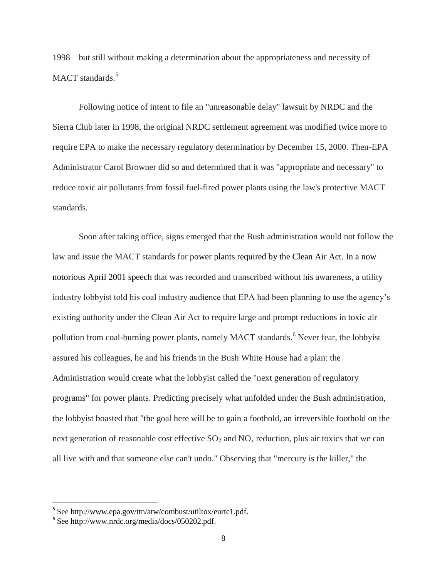1998 – but still without making a determination about the appropriateness and necessity of MACT standards.<sup>5</sup>

Following notice of intent to file an "unreasonable delay" lawsuit by NRDC and the Sierra Club later in 1998, the original NRDC settlement agreement was modified twice more to require EPA to make the necessary regulatory determination by December 15, 2000. Then-EPA Administrator Carol Browner did so and determined that it was "appropriate and necessary" to reduce toxic air pollutants from fossil fuel-fired power plants using the law's protective MACT standards.

Soon after taking office, signs emerged that the Bush administration would not follow the law and issue the MACT standards for power plants required by the Clean Air Act. In a now notorious [April 2001 speech](http://www.nrdc.org/media/docs/050202.pdf) that was recorded and transcribed without his awareness, a utility industry lobbyist told his coal industry audience that EPA had been planning to use the agency's existing authority under the Clean Air Act to require large and prompt reductions in toxic air pollution from coal-burning power plants, namely MACT standards.<sup>6</sup> Never fear, the lobbyist assured his colleagues, he and his friends in the Bush White House had a plan: the Administration would create what the lobbyist called the "next generation of regulatory programs" for power plants. Predicting precisely what unfolded under the Bush administration, the lobbyist boasted that "the goal here will be to gain a foothold, an irreversible foothold on the next generation of reasonable cost effective  $SO_2$  and  $NO<sub>x</sub>$  reduction, plus air toxics that we can all live with and that someone else can't undo." Observing that "mercury is the killer," the

<sup>&</sup>lt;sup>5</sup> See [http://www.epa.gov/ttn/atw/combust/utiltox/eurtc1.pdf.](http://www.epa.gov/ttn/atw/combust/utiltox/eurtc1.pdf)

<sup>6</sup> See [http://www.nrdc.org/media/docs/050202.pdf.](http://www.nrdc.org/media/docs/050202.pdf)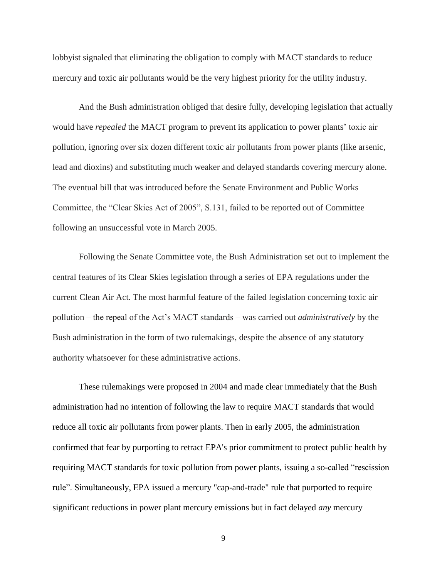lobbyist signaled that eliminating the obligation to comply with MACT standards to reduce mercury and toxic air pollutants would be the very highest priority for the utility industry.

And the Bush administration obliged that desire fully, developing legislation that actually would have *repealed* the MACT program to prevent its application to power plants' toxic air pollution, ignoring over six dozen different toxic air pollutants from power plants (like arsenic, lead and dioxins) and substituting much weaker and delayed standards covering mercury alone. The eventual bill that was introduced before the Senate Environment and Public Works Committee, the "Clear Skies Act of 2005", S.131, failed to be reported out of Committee following an unsuccessful vote in March 2005.

Following the Senate Committee vote, the Bush Administration set out to implement the central features of its Clear Skies legislation through a series of EPA regulations under the current Clean Air Act. The most harmful feature of the failed legislation concerning toxic air pollution – the repeal of the Act's MACT standards – was carried out *administratively* by the Bush administration in the form of two rulemakings, despite the absence of any statutory authority whatsoever for these administrative actions.

These rulemakings were proposed in 2004 and made clear immediately that the Bush administration had no intention of following the law to require MACT standards that would reduce all toxic air pollutants from power plants. Then in early 2005, the administration confirmed that fear by purporting to retract EPA's prior commitment to protect public health by requiring MACT standards for toxic pollution from power plants, issuing a so-called "rescission rule". Simultaneously, EPA issued a mercury "cap-and-trade" rule that purported to require significant reductions in power plant mercury emissions but in fact delayed *any* mercury

9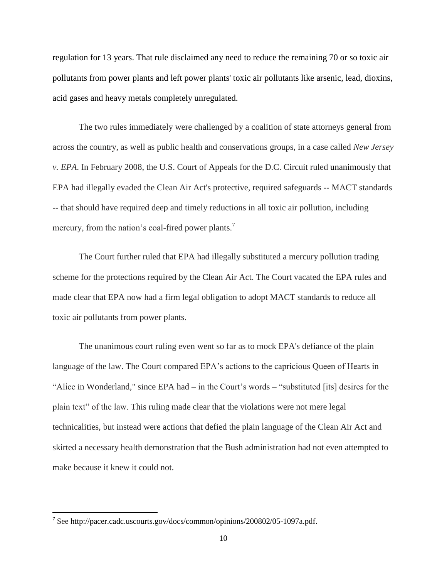regulation for 13 years. That rule disclaimed any need to reduce the remaining 70 or so toxic air pollutants from power plants and left power plants' toxic air pollutants like arsenic, lead, dioxins, acid gases and heavy metals completely unregulated.

The two rules immediately were challenged by a coalition of state attorneys general from across the country, as well as public health and conservations groups, in a case called *New Jersey v. EPA*. In February 2008, the U.S. Court of Appeals for the D.C. Circuit ruled unanimously that EPA had illegally evaded the Clean Air Act's protective, required safeguards -- MACT standards -- that should have required deep and timely reductions in all toxic air pollution, including mercury, from the nation's coal-fired power plants.<sup>7</sup>

The Court further ruled that EPA had illegally substituted a mercury pollution trading scheme for the protections required by the Clean Air Act. The Court vacated the EPA rules and made clear that EPA now had a firm legal obligation to adopt MACT standards to reduce all toxic air pollutants from power plants.

The unanimous court ruling even went so far as to mock EPA's defiance of the plain language of the law. The Court compared EPA's actions to the capricious Queen of Hearts in "Alice in Wonderland," since  $EPA$  had – in the Court's words – "substituted [its] desires for the plain text‖ of the law. This ruling made clear that the violations were not mere legal technicalities, but instead were actions that defied the plain language of the Clean Air Act and skirted a necessary health demonstration that the Bush administration had not even attempted to make because it knew it could not.

<sup>&</sup>lt;sup>7</sup> See [http://pacer.cadc.uscourts.gov/docs/common/opinions/200802/05-1097a.pdf.](http://pacer.cadc.uscourts.gov/docs/common/opinions/200802/05-1097a.pdf)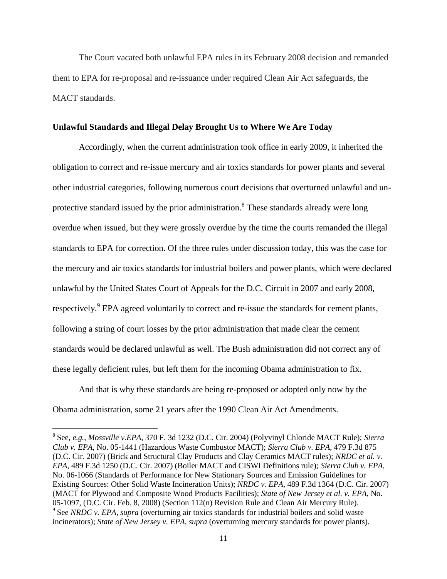The Court vacated both unlawful EPA rules in its February 2008 decision and remanded them to EPA for re-proposal and re-issuance under required Clean Air Act safeguards, the MACT standards.

### **Unlawful Standards and Illegal Delay Brought Us to Where We Are Today**

Accordingly, when the current administration took office in early 2009, it inherited the obligation to correct and re-issue mercury and air toxics standards for power plants and several other industrial categories, following numerous court decisions that overturned unlawful and unprotective standard issued by the prior administration.<sup>8</sup> These standards already were long overdue when issued, but they were grossly overdue by the time the courts remanded the illegal standards to EPA for correction. Of the three rules under discussion today, this was the case for the mercury and air toxics standards for industrial boilers and power plants, which were declared unlawful by the United States Court of Appeals for the D.C. Circuit in 2007 and early 2008, respectively.<sup>9</sup> EPA agreed voluntarily to correct and re-issue the standards for cement plants, following a string of court losses by the prior administration that made clear the cement standards would be declared unlawful as well. The Bush administration did not correct any of these legally deficient rules, but left them for the incoming Obama administration to fix.

And that is why these standards are being re-proposed or adopted only now by the Obama administration, some 21 years after the 1990 Clean Air Act Amendments.

<sup>8</sup> See, *e.g.*, *Mossville v.EPA*, 370 F. 3d 1232 (D.C. Cir. 2004) (Polyvinyl Chloride MACT Rule); *Sierra Club v. EPA*, No. 05-1441 (Hazardous Waste Combustor MACT); *Sierra Club v. EPA*, 479 F.3d 875 (D.C. Cir. 2007) (Brick and Structural Clay Products and Clay Ceramics MACT rules); *NRDC et al. v. EPA*, 489 F.3d 1250 (D.C. Cir. 2007) (Boiler MACT and CISWI Definitions rule); *Sierra Club v. EPA*, No. 06-1066 (Standards of Performance for New Stationary Sources and Emission Guidelines for Existing Sources: Other Solid Waste Incineration Units); *NRDC v. EPA*, 489 F.3d 1364 (D.C. Cir. 2007) (MACT for Plywood and Composite Wood Products Facilities); *State of New Jersey et al. v. EPA*, No. 05-1097, (D.C. Cir. Feb. 8, 2008) (Section 112(n) Revision Rule and Clean Air Mercury Rule). <sup>9</sup> See *NRDC v. EPA*, *supra* (overturning air toxics standards for industrial boilers and solid waste incinerators); *State of New Jersey v. EPA*, *supra* (overturning mercury standards for power plants).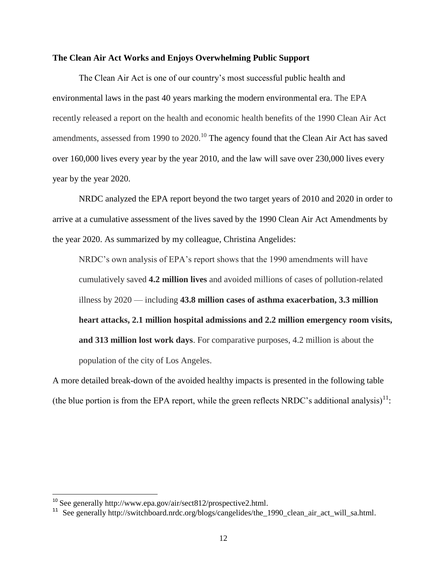### **The Clean Air Act Works and Enjoys Overwhelming Public Support**

The Clean Air Act is one of our country's most successful public health and environmental laws in the past 40 years marking the modern environmental era. The EPA recently released a report on the health and economic health benefits of the 1990 Clean Air Act amendments, assessed from 1990 to 2020.<sup>10</sup> The agency found that the Clean Air Act has saved over 160,000 lives every year by the year 2010, and the law will save over 230,000 lives every year by the year 2020.

NRDC analyzed the EPA report beyond the two target years of 2010 and 2020 in order to arrive at a cumulative assessment of the lives saved by the 1990 Clean Air Act Amendments by the year 2020. As summarized by my colleague, Christina Angelides:

NRDC's own analysis of EPA's report shows that the 1990 amendments will have cumulatively saved **4.2 million lives** and avoided millions of cases of pollution-related illness by 2020 — including **43.8 million cases of asthma exacerbation, 3.3 million heart attacks, 2.1 million hospital admissions and 2.2 million emergency room visits, and 313 million lost work days**. For comparative purposes, 4.2 million is about the population of the city of Los Angeles.

A more detailed break-down of the avoided healthy impacts is presented in the following table (the blue portion is from the EPA report, while the green reflects NRDC's additional analysis)<sup>11</sup>:

l

<sup>&</sup>lt;sup>10</sup> See generally [http://www.epa.gov/air/sect812/prospective2.html.](http://www.epa.gov/air/sect812/prospective2.html)

<sup>&</sup>lt;sup>11</sup> See generally [http://switchboard.nrdc.org/blogs/cangelides/the\\_1990\\_clean\\_air\\_act\\_will\\_sa.html.](http://switchboard.nrdc.org/blogs/cangelides/the_1990_clean_air_act_will_sa.html)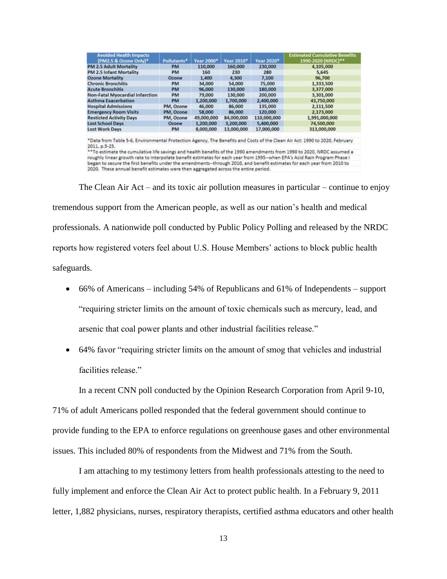| <b>Avoided Health Impacts</b><br>(PM2.5 & Ozone Only)* | Pollutants* | Year 2000* | <b>Year 2010*</b> | Year 2020*  | <b>Estimated Cumulative Benefits</b><br>1990-2020 (NRDC)** |
|--------------------------------------------------------|-------------|------------|-------------------|-------------|------------------------------------------------------------|
| PM 2.5 Adult Mortality                                 | PM          | 110,000    | 160,000           | 230,000     | 4,105,000                                                  |
| PM 2.5 Infant Mortality                                | PM          | 160        | 230               | 280         | 5,645                                                      |
| <b>Ozone Mortality</b>                                 | Ozone       | 1,400      | 4,300             | 7,100       | 96,700                                                     |
| <b>Chronic Bronchitis</b>                              | <b>PM</b>   | 34,000     | 54,000            | 75,000      | 1,333,500                                                  |
| <b>Acute Bronchitis</b>                                | <b>PM</b>   | 96,000     | 130,000           | 180,000     | 3,377,000                                                  |
| <b>Non-Fatal Myocardial Infarction</b>                 | PM          | 79,000     | 130,000           | 200,000     | 3,301,000                                                  |
| <b>Asthma Exacerbation</b>                             | <b>PM</b>   | 1,200,000  | 1,700,000         | 2,400,000   | 43,750,000                                                 |
| <b>Hospital Admissions</b>                             | PM, Ozone   | 46,000     | 86,000            | 135,000     | 2,111,500                                                  |
| <b>Emergency Room Visits</b>                           | PM, Ozone   | 58,000     | 86,000            | 120,000     | 2,173,000                                                  |
| <b>Resticted Activity Days</b>                         | PM, Ozone   | 49,000,000 | 84,000,000        | 110,000,000 | 1,991,000,000                                              |
| <b>Lost School Days</b>                                | Ozone       | 1,200,000  | 3,200,000         | 5,400,000   | 74,500,000                                                 |
| <b>Lost Work Days</b>                                  | PM          | 8,000,000  | 13,000,000        | 17,000,000  | 313,000,000                                                |

\*Data from Table 5-6, Environmental Protection Agency, The Benefits and Costs of the Clean Air Act: 1990 to 2020, February

2011, p.5-25.<br>\*\*To estimate the cumulative life savings and health benefits of the 1990 amendments from 1990 to 2020, NRDC assumed a<br>\*\*To estimate the cumulative life savings and health benefits of the 1990 amendments from roughly linear growth rate to interpolate benefit estimates for each year from 1995--when EPA's Acid Rain Program Phase I began to secure the first benefits under the amendments--through 2010, and benefit estimates for each year from 2010 to 2020. These annual benefit estimates were then aggregated across the entire period.

The Clean Air Act – and its toxic air pollution measures in particular – continue to enjoy tremendous support from the American people, as well as our nation's health and medical professionals. A nationwide poll conducted by Public Policy Polling and released by the NRDC reports how registered voters feel about U.S. House Members' actions to block public health safeguards.

- 66% of Americans including 54% of Republicans and 61% of Independents support ―requiring stricter limits on the amount of toxic chemicals such as mercury, lead, and arsenic that coal power plants and other industrial facilities release."
- 64% favor "requiring stricter limits on the amount of smog that vehicles and industrial facilities release."

In a recent CNN poll conducted by the Opinion Research Corporation from April 9-10,

71% of adult Americans polled responded that the federal government should continue to provide funding to the EPA to enforce regulations on greenhouse gases and other environmental issues. This included 80% of respondents from the Midwest and 71% from the South.

I am attaching to my testimony letters from health professionals attesting to the need to fully implement and enforce the Clean Air Act to protect public health. In a February 9, 2011 letter, 1,882 physicians, nurses, respiratory therapists, certified asthma educators and other health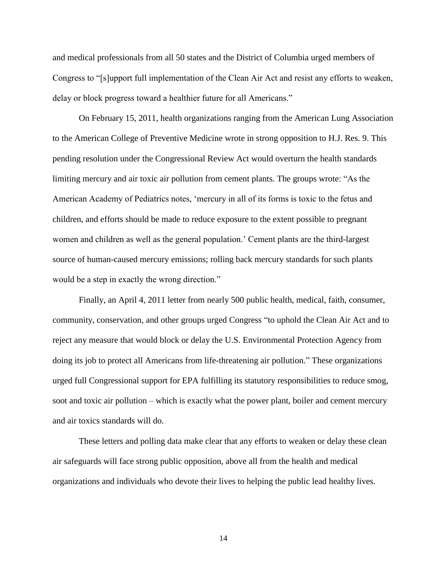and medical professionals from all 50 states and the District of Columbia urged members of Congress to "[s]upport full implementation of the Clean Air Act and resist any efforts to weaken, delay or block progress toward a healthier future for all Americans."

On February 15, 2011, health organizations ranging from the American Lung Association to the American College of Preventive Medicine wrote in strong opposition to H.J. Res. 9. This pending resolution under the Congressional Review Act would overturn the health standards limiting mercury and air toxic air pollution from cement plants. The groups wrote: "As the American Academy of Pediatrics notes, 'mercury in all of its forms is toxic to the fetus and children, and efforts should be made to reduce exposure to the extent possible to pregnant women and children as well as the general population.' Cement plants are the third-largest source of human-caused mercury emissions; rolling back mercury standards for such plants would be a step in exactly the wrong direction."

Finally, an April 4, 2011 letter from nearly 500 public health, medical, faith, consumer, community, conservation, and other groups urged Congress "to uphold the Clean Air Act and to reject any measure that would block or delay the U.S. Environmental Protection Agency from doing its job to protect all Americans from life-threatening air pollution." These organizations urged full Congressional support for EPA fulfilling its statutory responsibilities to reduce smog, soot and toxic air pollution – which is exactly what the power plant, boiler and cement mercury and air toxics standards will do.

These letters and polling data make clear that any efforts to weaken or delay these clean air safeguards will face strong public opposition, above all from the health and medical organizations and individuals who devote their lives to helping the public lead healthy lives.

14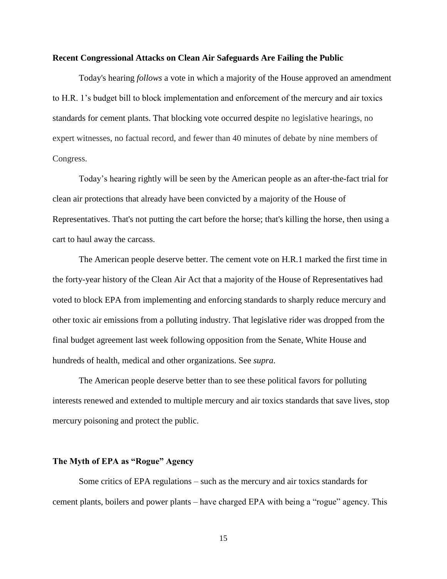### **Recent Congressional Attacks on Clean Air Safeguards Are Failing the Public**

Today's hearing *follows* a vote in which a majority of the House approved an amendment to H.R. 1's budget bill to block implementation and enforcement of the mercury and air toxics standards for cement plants. That blocking vote occurred despite no legislative hearings, no expert witnesses, no factual record, and fewer than 40 minutes of debate by nine members of Congress.

Today's hearing rightly will be seen by the American people as an after-the-fact trial for clean air protections that already have been convicted by a majority of the House of Representatives. That's not putting the cart before the horse; that's killing the horse, then using a cart to haul away the carcass.

The American people deserve better. The cement vote on H.R.1 marked the first time in the forty-year history of the Clean Air Act that a majority of the House of Representatives had voted to block EPA from implementing and enforcing standards to sharply reduce mercury and other toxic air emissions from a polluting industry. That legislative rider was dropped from the final budget agreement last week following opposition from the Senate, White House and hundreds of health, medical and other organizations. See *supra*.

The American people deserve better than to see these political favors for polluting interests renewed and extended to multiple mercury and air toxics standards that save lives, stop mercury poisoning and protect the public.

### **The Myth of EPA as "Rogue" Agency**

Some critics of EPA regulations – such as the mercury and air toxics standards for cement plants, boilers and power plants – have charged EPA with being a "rogue" agency. This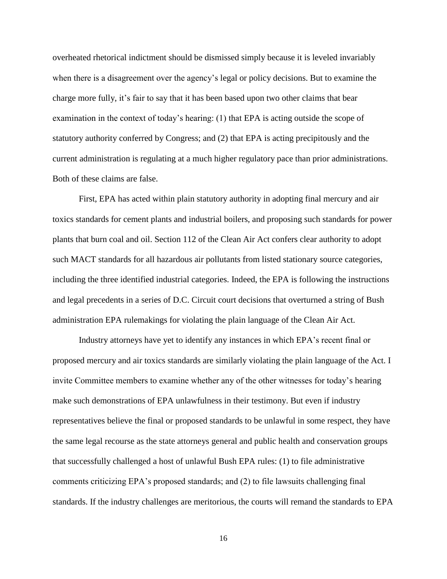overheated rhetorical indictment should be dismissed simply because it is leveled invariably when there is a disagreement over the agency's legal or policy decisions. But to examine the charge more fully, it's fair to say that it has been based upon two other claims that bear examination in the context of today's hearing: (1) that EPA is acting outside the scope of statutory authority conferred by Congress; and (2) that EPA is acting precipitously and the current administration is regulating at a much higher regulatory pace than prior administrations. Both of these claims are false.

First, EPA has acted within plain statutory authority in adopting final mercury and air toxics standards for cement plants and industrial boilers, and proposing such standards for power plants that burn coal and oil. Section 112 of the Clean Air Act confers clear authority to adopt such MACT standards for all hazardous air pollutants from listed stationary source categories, including the three identified industrial categories. Indeed, the EPA is following the instructions and legal precedents in a series of D.C. Circuit court decisions that overturned a string of Bush administration EPA rulemakings for violating the plain language of the Clean Air Act.

Industry attorneys have yet to identify any instances in which EPA's recent final or proposed mercury and air toxics standards are similarly violating the plain language of the Act. I invite Committee members to examine whether any of the other witnesses for today's hearing make such demonstrations of EPA unlawfulness in their testimony. But even if industry representatives believe the final or proposed standards to be unlawful in some respect, they have the same legal recourse as the state attorneys general and public health and conservation groups that successfully challenged a host of unlawful Bush EPA rules: (1) to file administrative comments criticizing EPA's proposed standards; and (2) to file lawsuits challenging final standards. If the industry challenges are meritorious, the courts will remand the standards to EPA

16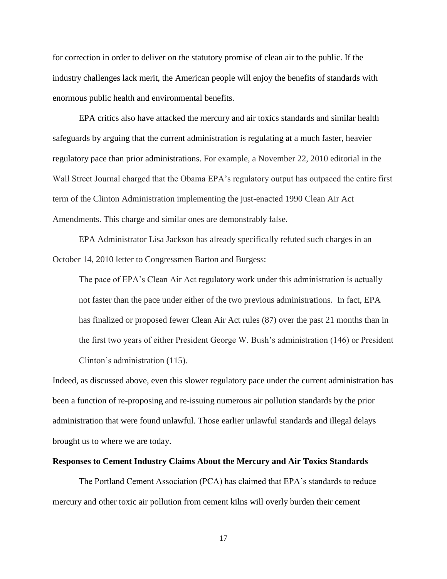for correction in order to deliver on the statutory promise of clean air to the public. If the industry challenges lack merit, the American people will enjoy the benefits of standards with enormous public health and environmental benefits.

EPA critics also have attacked the mercury and air toxics standards and similar health safeguards by arguing that the current administration is regulating at a much faster, heavier regulatory pace than prior administrations. For example, a November 22, 2010 editorial in the Wall Street Journal charged that the Obama EPA's regulatory output has outpaced the entire first term of the Clinton Administration implementing the just-enacted 1990 Clean Air Act Amendments. This charge and similar ones are demonstrably false.

EPA Administrator Lisa Jackson has already specifically refuted such charges in an October 14, 2010 letter to Congressmen Barton and Burgess:

The pace of EPA's Clean Air Act regulatory work under this administration is actually not faster than the pace under either of the two previous administrations. In fact, EPA has finalized or proposed fewer Clean Air Act rules (87) over the past 21 months than in the first two years of either President George W. Bush's administration (146) or President Clinton's administration (115).

Indeed, as discussed above, even this slower regulatory pace under the current administration has been a function of re-proposing and re-issuing numerous air pollution standards by the prior administration that were found unlawful. Those earlier unlawful standards and illegal delays brought us to where we are today.

#### **Responses to Cement Industry Claims About the Mercury and Air Toxics Standards**

The Portland Cement Association (PCA) has claimed that EPA's standards to reduce mercury and other toxic air pollution from cement kilns will overly burden their cement

17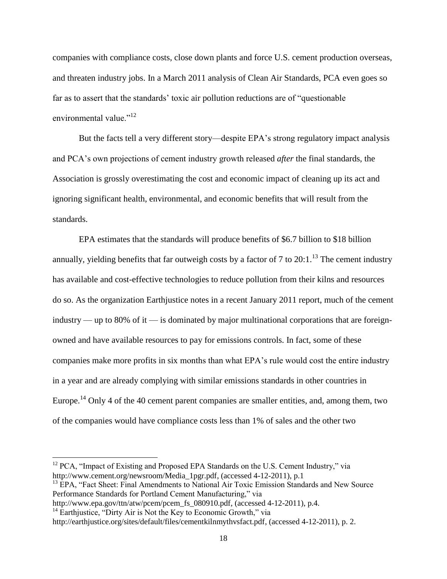companies with compliance costs, close down plants and force U.S. cement production overseas, and threaten industry jobs. In a March 2011 analysis of Clean Air Standards, PCA even goes so far as to assert that the standards' toxic air pollution reductions are of "questionable" environmental value."<sup>12</sup>

But the facts tell a very different story—despite EPA's strong regulatory impact analysis and PCA's own projections of cement industry growth released *after* the final standards, the Association is grossly overestimating the cost and economic impact of cleaning up its act and ignoring significant health, environmental, and economic benefits that will result from the standards.

EPA estimates that the standards will produce benefits of \$6.7 billion to \$18 billion annually, yielding benefits that far outweigh costs by a factor of 7 to  $20:1.^{13}$  The cement industry has available and cost-effective technologies to reduce pollution from their kilns and resources do so. As the organization Earthjustice notes in a recent January 2011 report, much of the cement industry — up to 80% of it — is dominated by major multinational corporations that are foreignowned and have available resources to pay for emissions controls. In fact, some of these companies make more profits in six months than what EPA's rule would cost the entire industry in a year and are already complying with similar emissions standards in other countries in Europe.<sup>14</sup> Only 4 of the 40 cement parent companies are smaller entities, and, among them, two of the companies would have compliance costs less than 1% of sales and the other two

 $\overline{a}$ 

 $12$  PCA, "Impact of Existing and Proposed EPA Standards on the U.S. Cement Industry," via [http://www.cement.org/newsroom/Media\\_1pgr.pdf,](http://www.cement.org/newsroom/Media_1pgr.pdf) (accessed 4-12-2011), p.1

<sup>&</sup>lt;sup>13</sup> EPA, "Fact Sheet: Final Amendments to National Air Toxic Emission Standards and New Source Performance Standards for Portland Cement Manufacturing," via

[http://www.epa.gov/ttn/atw/pcem/pcem\\_fs\\_080910.pdf,](http://www.epa.gov/ttn/atw/pcem/pcem_fs_080910.pdf) (accessed 4-12-2011), p.4.

 $14$  Earthjustice, "Dirty Air is Not the Key to Economic Growth," via

[http://earthjustice.org/sites/default/files/cementkilnmythvsfact.pdf,](http://earthjustice.org/sites/default/files/cementkilnmythvsfact.pdf) (accessed 4-12-2011), p. 2.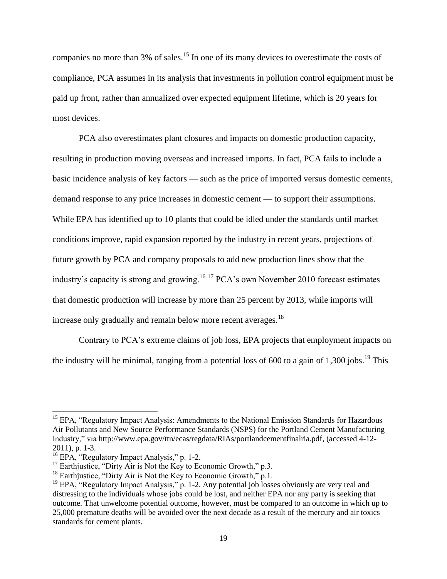companies no more than 3% of sales.<sup>15</sup> In one of its many devices to overestimate the costs of compliance, PCA assumes in its analysis that investments in pollution control equipment must be paid up front, rather than annualized over expected equipment lifetime, which is 20 years for most devices.

PCA also overestimates plant closures and impacts on domestic production capacity, resulting in production moving overseas and increased imports. In fact, PCA fails to include a basic incidence analysis of key factors — such as the price of imported versus domestic cements, demand response to any price increases in domestic cement — to support their assumptions. While EPA has identified up to 10 plants that could be idled under the standards until market conditions improve, rapid expansion reported by the industry in recent years, projections of future growth by PCA and company proposals to add new production lines show that the industry's capacity is strong and growing.<sup>16 17</sup> PCA's own November 2010 forecast estimates that domestic production will increase by more than 25 percent by 2013, while imports will increase only gradually and remain below more recent averages.<sup>18</sup>

Contrary to PCA's extreme claims of job loss, EPA projects that employment impacts on the industry will be minimal, ranging from a potential loss of 600 to a gain of  $1,300$  jobs.<sup>19</sup> This

l

<sup>&</sup>lt;sup>15</sup> EPA, "Regulatory Impact Analysis: Amendments to the National Emission Standards for Hazardous Air Pollutants and New Source Performance Standards (NSPS) for the Portland Cement Manufacturing Industry,‖ via [http://www.epa.gov/ttn/ecas/regdata/RIAs/portlandcementfinalria.pdf,](http://www.epa.gov/ttn/ecas/regdata/RIAs/portlandcementfinalria.pdf) (accessed 4-12- 2011), p. 1-3.

 $^{16}$  EPA, "Regulatory Impact Analysis," p. 1-2.

 $17$  Earthjustice, "Dirty Air is Not the Key to Economic Growth," p.3.

 $^{18}$  Earthjustice, "Dirty Air is Not the Key to Economic Growth," p.1.

 $19$  EPA, "Regulatory Impact Analysis," p. 1-2. Any potential job losses obviously are very real and distressing to the individuals whose jobs could be lost, and neither EPA nor any party is seeking that outcome. That unwelcome potential outcome, however, must be compared to an outcome in which up to 25,000 premature deaths will be avoided over the next decade as a result of the mercury and air toxics standards for cement plants.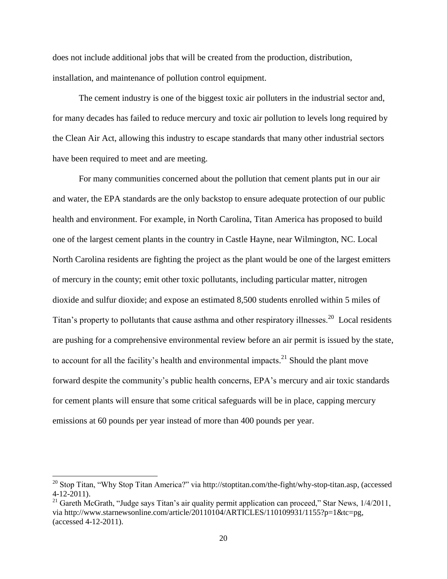does not include additional jobs that will be created from the production, distribution, installation, and maintenance of pollution control equipment.

The cement industry is one of the biggest toxic air polluters in the industrial sector and, for many decades has failed to reduce mercury and toxic air pollution to levels long required by the Clean Air Act, allowing this industry to escape standards that many other industrial sectors have been required to meet and are meeting.

For many communities concerned about the pollution that cement plants put in our air and water, the EPA standards are the only backstop to ensure adequate protection of our public health and environment. For example, in North Carolina, Titan America has proposed to build one of the largest cement plants in the country in Castle Hayne, near Wilmington, NC. Local North Carolina residents are fighting the project as the plant would be one of the largest emitters of mercury in the county; emit other toxic pollutants, including particular matter, nitrogen dioxide and sulfur dioxide; and expose an estimated 8,500 students enrolled within 5 miles of Titan's property to pollutants that cause asthma and other respiratory illnesses.<sup>20</sup> Local residents are pushing for a comprehensive environmental review before an air permit is issued by the state, to account for all the facility's health and environmental impacts.<sup>21</sup> Should the plant move forward despite the community's public health concerns, EPA's mercury and air toxic standards for cement plants will ensure that some critical safeguards will be in place, capping mercury emissions at 60 pounds per year instead of more than 400 pounds per year.

 $20$  Stop Titan, "Why Stop Titan America?" via [http://stoptitan.com/the-fight/why-stop-titan.asp,](http://stoptitan.com/the-fight/why-stop-titan.asp) (accessed 4-12-2011).

<sup>&</sup>lt;sup>21</sup> Gareth McGrath, "Judge says Titan's air quality permit application can proceed," Star News,  $1/4/2011$ , via [http://www.starnewsonline.com/article/20110104/ARTICLES/110109931/1155?p=1&tc=pg,](http://www.starnewsonline.com/article/20110104/ARTICLES/110109931/1155?p=1&tc=pg) (accessed 4-12-2011).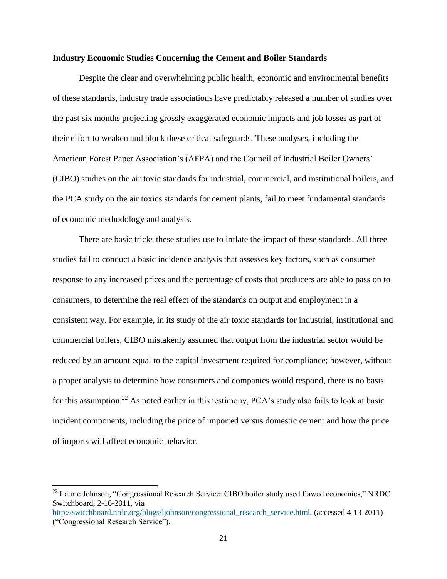### **Industry Economic Studies Concerning the Cement and Boiler Standards**

Despite the clear and overwhelming public health, economic and environmental benefits of these standards, industry trade associations have predictably released a number of studies over the past six months projecting grossly exaggerated economic impacts and job losses as part of their effort to weaken and block these critical safeguards. These analyses, including the American Forest Paper Association's (AFPA) and the Council of Industrial Boiler Owners' (CIBO) studies on the air toxic standards for industrial, commercial, and institutional boilers, and the PCA study on the air toxics standards for cement plants, fail to meet fundamental standards of economic methodology and analysis.

There are basic tricks these studies use to inflate the impact of these standards. All three studies fail to conduct a basic incidence analysis that assesses key factors, such as consumer response to any increased prices and the percentage of costs that producers are able to pass on to consumers, to determine the real effect of the standards on output and employment in a consistent way. For example, in its study of the air toxic standards for industrial, institutional and commercial boilers, CIBO mistakenly assumed that output from the industrial sector would be reduced by an amount equal to the capital investment required for compliance; however, without a proper analysis to determine how consumers and companies would respond, there is no basis for this assumption.<sup>22</sup> As noted earlier in this testimony, PCA's study also fails to look at basic incident components, including the price of imported versus domestic cement and how the price of imports will affect economic behavior.

l

 $22$  Laurie Johnson, "Congressional Research Service: CIBO boiler study used flawed economics," NRDC Switchboard, 2-16-2011, via

[http://switchboard.nrdc.org/blogs/ljohnson/congressional\\_research\\_service.html,](http://switchboard.nrdc.org/blogs/ljohnson/congressional_research_service.html) (accessed 4-13-2011) ("Congressional Research Service").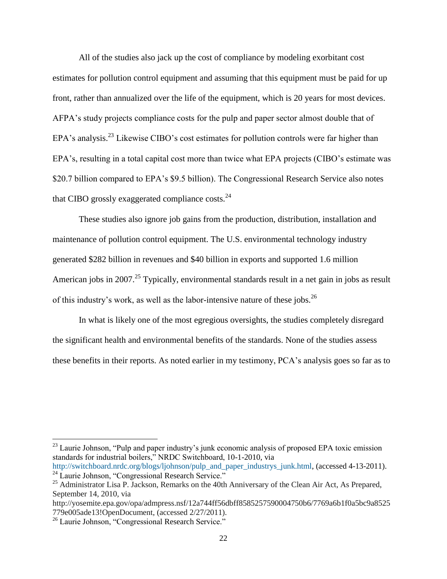All of the studies also jack up the cost of compliance by modeling exorbitant cost estimates for pollution control equipment and assuming that this equipment must be paid for up front, rather than annualized over the life of the equipment, which is 20 years for most devices. AFPA's study projects compliance costs for the pulp and paper sector almost double that of EPA's analysis.<sup>23</sup> Likewise CIBO's cost estimates for pollution controls were far higher than EPA's, resulting in a total capital cost more than twice what EPA projects (CIBO's estimate was \$20.7 billion compared to EPA's \$9.5 billion). The Congressional Research Service also notes that CIBO grossly exaggerated compliance costs. $^{24}$ 

These studies also ignore job gains from the production, distribution, installation and maintenance of pollution control equipment. The U.S. environmental technology industry generated \$282 billion in revenues and \$40 billion in exports and supported 1.6 million American jobs in 2007.<sup>25</sup> Typically, environmental standards result in a net gain in jobs as result of this industry's work, as well as the labor-intensive nature of these jobs.<sup>26</sup>

In what is likely one of the most egregious oversights, the studies completely disregard the significant health and environmental benefits of the standards. None of the studies assess these benefits in their reports. As noted earlier in my testimony, PCA's analysis goes so far as to

 $^{23}$  Laurie Johnson, "Pulp and paper industry's junk economic analysis of proposed EPA toxic emission standards for industrial boilers," NRDC Switchboard, 10-1-2010, via [http://switchboard.nrdc.org/blogs/ljohnson/pulp\\_and\\_paper\\_industrys\\_junk.html,](http://switchboard.nrdc.org/blogs/ljohnson/pulp_and_paper_industrys_junk.html) (accessed 4-13-2011).  $24$  Laurie Johnson, "Congressional Research Service."

<sup>&</sup>lt;sup>25</sup> Administrator Lisa P. Jackson, Remarks on the 40th Anniversary of the Clean Air Act, As Prepared, September 14, 2010, via

http://yosemite.epa.gov/opa/admpress.nsf/12a744ff56dbff8585257590004750b6/7769a6b1f0a5bc9a8525 779e005ade13!OpenDocument, (accessed 2/27/2011).

<sup>&</sup>lt;sup>26</sup> Laurie Johnson, "Congressional Research Service."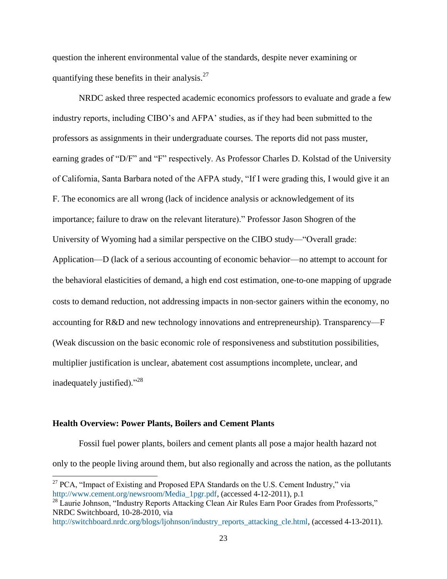question the inherent environmental value of the standards, despite never examining or quantifying these benefits in their analysis. $27$ 

NRDC asked three respected academic economics professors to evaluate and grade a few industry reports, including CIBO's and AFPA' studies, as if they had been submitted to the professors as assignments in their undergraduate courses. The reports did not pass muster, earning grades of "D/F" and "F" respectively. As Professor Charles D. Kolstad of the University of California, Santa Barbara noted of the AFPA study, "If I were grading this, I would give it an F. The economics are all wrong (lack of incidence analysis or acknowledgement of its importance; failure to draw on the relevant literature)." Professor Jason Shogren of the University of Wyoming had a similar perspective on the CIBO study—"Overall grade: Application—D (lack of a serious accounting of economic behavior—no attempt to account for the behavioral elasticities of demand, a high end cost estimation, one‐to‐one mapping of upgrade costs to demand reduction, not addressing impacts in non‐sector gainers within the economy, no accounting for R&D and new technology innovations and entrepreneurship). Transparency—F (Weak discussion on the basic economic role of responsiveness and substitution possibilities, multiplier justification is unclear, abatement cost assumptions incomplete, unclear, and inadequately justified)."<sup>28</sup>

## **Health Overview: Power Plants, Boilers and Cement Plants**

 $\overline{\phantom{a}}$ 

Fossil fuel power plants, boilers and cement plants all pose a major health hazard not only to the people living around them, but also regionally and across the nation, as the pollutants

 $27$  PCA, "Impact of Existing and Proposed EPA Standards on the U.S. Cement Industry," via [http://www.cement.org/newsroom/Media\\_1pgr.pdf,](http://www.cement.org/newsroom/Media_1pgr.pdf) (accessed 4-12-2011), p.1

<sup>&</sup>lt;sup>28</sup> Laurie Johnson, "Industry Reports Attacking Clean Air Rules Earn Poor Grades from Professorts," NRDC Switchboard, 10-28-2010, via

[http://switchboard.nrdc.org/blogs/ljohnson/industry\\_reports\\_attacking\\_cle.html,](http://switchboard.nrdc.org/blogs/ljohnson/industry_reports_attacking_cle.html) (accessed 4-13-2011).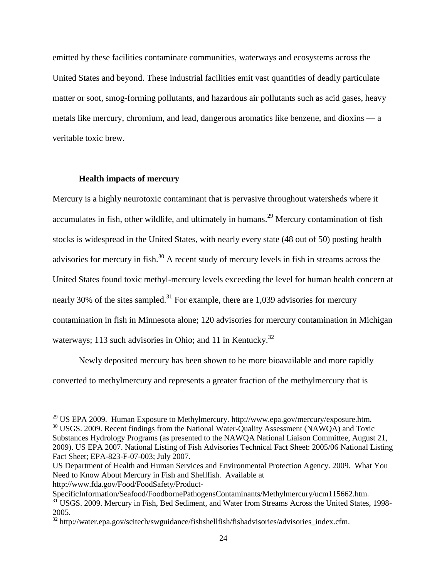emitted by these facilities contaminate communities, waterways and ecosystems across the United States and beyond. These industrial facilities emit vast quantities of deadly particulate matter or soot, smog-forming pollutants, and hazardous air pollutants such as acid gases, heavy metals like mercury, chromium, and lead, dangerous aromatics like benzene, and dioxins — a veritable toxic brew.

### **Health impacts of mercury**

 $\overline{\phantom{a}}$ 

Mercury is a highly neurotoxic contaminant that is pervasive throughout watersheds where it accumulates in fish, other wildlife, and ultimately in humans.<sup>29</sup> Mercury contamination of fish stocks is widespread in the United States, with nearly every state (48 out of 50) posting health advisories for mercury in fish.<sup>30</sup> A recent study of mercury levels in fish in streams across the United States found toxic methyl-mercury levels exceeding the level for human health concern at nearly 30% of the sites sampled.<sup>31</sup> For example, there are 1,039 advisories for mercury contamination in fish in Minnesota alone; 120 advisories for mercury contamination in Michigan waterways; 113 such advisories in Ohio; and 11 in Kentucky.<sup>32</sup>

Newly deposited mercury has been shown to be more bioavailable and more rapidly converted to methylmercury and represents a greater fraction of the methylmercury that is

 $^{29}$  US EPA 2009. Human Exposure to Methylmercury. [http://www.epa.gov/mercury/exposure.htm.](http://www.epa.gov/mercury/exposure.htm) <sup>30</sup> USGS. 2009. Recent findings from the National Water-Quality Assessment (NAWQA) and Toxic Substances Hydrology Programs (as presented to the NAWQA National Liaison Committee, August 21, 2009). US EPA 2007. National Listing of Fish Advisories Technical Fact Sheet: 2005/06 National Listing Fact Sheet; EPA-823-F-07-003; July 2007.

US Department of Health and Human Services and Environmental Protection Agency. 2009. What You Need to Know About Mercury in Fish and Shellfish. Available at [http://www.fda.gov/Food/FoodSafety/Product-](http://www.fda.gov/Food/FoodSafety/Product-SpecificInformation/Seafood/FoodbornePathogensContaminants/Methylmercury/ucm115662.htm)

[SpecificInformation/Seafood/FoodbornePathogensContaminants/Methylmercury/ucm115662.htm](http://www.fda.gov/Food/FoodSafety/Product-SpecificInformation/Seafood/FoodbornePathogensContaminants/Methylmercury/ucm115662.htm). <sup>31</sup> USGS. 2009. Mercury in Fish, Bed Sediment, and Water from Streams Across the United States, 1998-2005.

<sup>32</sup> http://water.epa.gov/scitech/swguidance/fishshellfish/fishadvisories/advisories\_index.cfm.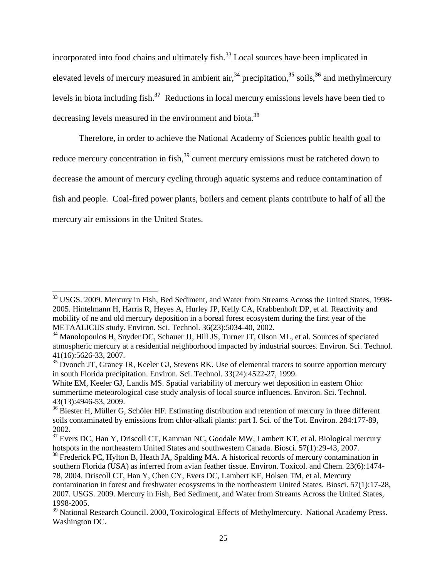incorporated into food chains and ultimately fish.<sup>33</sup> Local sources have been implicated in elevated levels of mercury measured in ambient air,<sup>34</sup> precipitation,<sup>35</sup> soils,<sup>36</sup> and methylmercury levels in biota including fish.**<sup>37</sup>** Reductions in local mercury emissions levels have been tied to decreasing levels measured in the environment and biota.<sup>38</sup>

Therefore, in order to achieve the National Academy of Sciences public health goal to reduce mercury concentration in fish,<sup>39</sup> current mercury emissions must be ratcheted down to decrease the amount of mercury cycling through aquatic systems and reduce contamination of fish and people. Coal-fired power plants, boilers and cement plants contribute to half of all the mercury air emissions in the United States.

<sup>&</sup>lt;sup>33</sup> USGS. 2009. Mercury in Fish, Bed Sediment, and Water from Streams Across the United States, 1998-2005. Hintelmann H, Harris R, Heyes A, Hurley JP, Kelly CA, Krabbenhoft DP, et al. Reactivity and mobility of ne and old mercury deposition in a boreal forest ecosystem during the first year of the METAALICUS study. Environ. Sci. Technol. 36(23):5034-40, 2002.

<sup>&</sup>lt;sup>34</sup> Manolopoulos H, Snyder DC, Schauer JJ, Hill JS, Turner JT, Olson ML, et al. Sources of speciated atmospheric mercury at a residential neighborhood impacted by industrial sources. Environ. Sci. Technol. 41(16):5626-33, 2007.

<sup>&</sup>lt;sup>35</sup> Dvonch JT, Graney JR, Keeler GJ, Stevens RK. Use of elemental tracers to source apportion mercury in south Florida precipitation. Environ. Sci. Technol. 33(24):4522-27, 1999.

White EM, Keeler GJ, Landis MS. Spatial variability of mercury wet deposition in eastern Ohio: summertime meteorological case study analysis of local source influences. Environ. Sci. Technol. 43(13):4946-53, 2009.

<sup>&</sup>lt;sup>36</sup> Biester H, Müller G, Schöler HF. Estimating distribution and retention of mercury in three different soils contaminated by emissions from chlor-alkali plants: part I. Sci. of the Tot. Environ. 284:177-89, 2002.

<sup>&</sup>lt;sup>37</sup> Evers DC, Han Y, Driscoll CT, Kamman NC, Goodale MW, Lambert KT, et al. Biological mercury hotspots in the northeastern United States and southwestern Canada. Biosci. 57(1):29-43, 2007.

 $38$  Frederick PC, Hylton B, Heath JA, Spalding MA. A historical records of mercury contamination in southern Florida (USA) as inferred from avian feather tissue. Environ. Toxicol. and Chem. 23(6):1474- 78, 2004. Driscoll CT, Han Y, Chen CY, Evers DC, Lambert KF, Holsen TM, et al. Mercury contamination in forest and freshwater ecosystems in the northeastern United States. Biosci. 57(1):17-28, 2007. USGS. 2009. Mercury in Fish, Bed Sediment, and Water from Streams Across the United States, 1998-2005.

<sup>&</sup>lt;sup>39</sup> National Research Council. 2000, Toxicological Effects of Methylmercury. National Academy Press. Washington DC.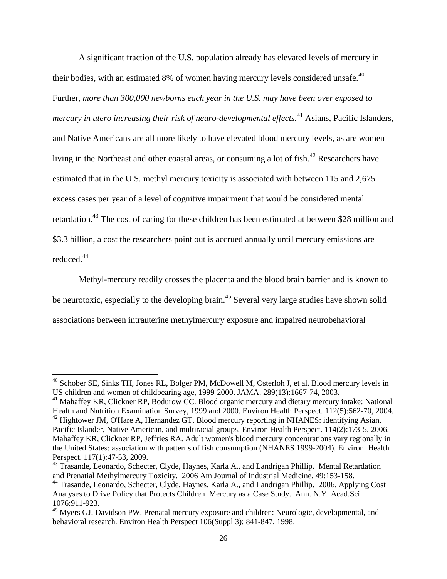A significant fraction of the U.S. population already has elevated levels of mercury in their bodies, with an estimated 8% of women having mercury levels considered unsafe. $40$ Further, *more than 300,000 newborns each year in the U.S. may have been over exposed to mercury in utero increasing their risk of neuro-developmental effects.*<sup>41</sup> Asians, Pacific Islanders, and Native Americans are all more likely to have elevated blood mercury levels, as are women living in the Northeast and other coastal areas, or consuming a lot of fish.<sup>42</sup> Researchers have estimated that in the U.S. methyl mercury toxicity is associated with between 115 and 2,675 excess cases per year of a level of cognitive impairment that would be considered mental retardation.<sup>43</sup> The cost of caring for these children has been estimated at between \$28 million and \$3.3 billion, a cost the researchers point out is accrued annually until mercury emissions are reduced.<sup>44</sup>

Methyl-mercury readily crosses the placenta and the blood brain barrier and is known to be neurotoxic, especially to the developing brain.<sup>45</sup> Several very large studies have shown solid associations between intrauterine methylmercury exposure and impaired neurobehavioral

 $40$  Schober SE, Sinks TH, Jones RL, Bolger PM, McDowell M, Osterloh J, et al. Blood mercury levels in US children and women of childbearing age, 1999-2000. JAMA. 289(13):1667-74, 2003.

<sup>&</sup>lt;sup>41</sup> Mahaffey KR, Clickner RP, Bodurow CC. Blood organic mercury and dietary mercury intake: National Health and Nutrition Examination Survey, 1999 and 2000. Environ Health Perspect. 112(5):562-70, 2004.  $^{42}$  Hightower JM, O'Hare A, Hernandez GT. Blood mercury reporting in NHANES: identifying Asian,

Pacific Islander, Native American, and multiracial groups. Environ Health Perspect. 114(2):173-5, 2006. Mahaffey KR, Clickner RP, Jeffries RA. Adult women's blood mercury concentrations vary regionally in the United States: association with patterns of fish consumption (NHANES 1999-2004). Environ. Health Perspect. 117(1):47-53, 2009.

<sup>&</sup>lt;sup>43</sup> Trasande, Leonardo, Schecter, Clyde, Haynes, Karla A., and Landrigan Phillip. Mental Retardation and Prenatial Methylmercury Toxicity. 2006 Am Journal of Industrial Medicine. 49:153-158.

<sup>44</sup> Trasande, Leonardo, Schecter, Clyde, Haynes, Karla A., and Landrigan Phillip. 2006. Applying Cost Analyses to Drive Policy that Protects Children Mercury as a Case Study. Ann. N.Y. Acad.Sci. 1076:911-923.

<sup>&</sup>lt;sup>45</sup> Myers GJ, Davidson PW. Prenatal mercury exposure and children: Neurologic, developmental, and behavioral research. Environ Health Perspect 106(Suppl 3): 841-847, 1998.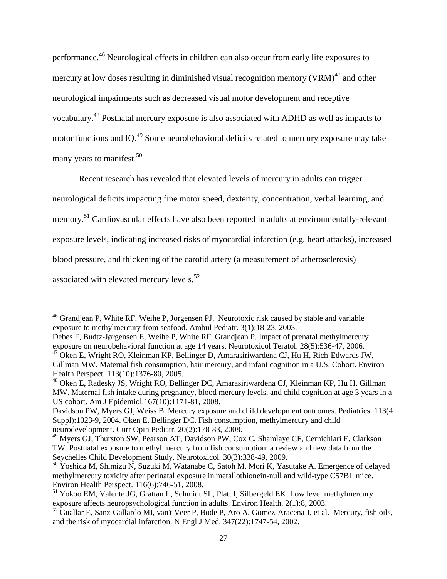performance.<sup>46</sup> Neurological effects in children can also occur from early life exposures to mercury at low doses resulting in diminished visual recognition memory  $(VRM)^{47}$  and other neurological impairments such as decreased visual motor development and receptive vocabulary.<sup>48</sup> Postnatal mercury exposure is also associated with ADHD as well as impacts to motor functions and IQ.<sup>49</sup> Some neurobehavioral deficits related to mercury exposure may take many years to manifest.<sup>50</sup>

Recent research has revealed that elevated levels of mercury in adults can trigger

neurological deficits impacting fine motor speed, dexterity, concentration, verbal learning, and

memory.<sup>51</sup> Cardiovascular effects have also been reported in adults at environmentally-relevant

exposure levels, indicating increased risks of myocardial infarction (e.g. heart attacks), increased

blood pressure, and thickening of the carotid artery (a measurement of atherosclerosis)

associated with elevated mercury levels. $52$ 

 $\overline{\phantom{a}}$ <sup>46</sup> Grandjean P, White RF, Weihe P, Jorgensen PJ. Neurotoxic risk caused by stable and variable exposure to methylmercury from seafood. Ambul Pediatr. 3(1):18-23, 2003.

Debes F, Budtz-Jørgensen E, Weihe P, White RF, Grandjean P. Impact of prenatal methylmercury exposure on neurobehavioral function at age 14 years. Neurotoxicol Teratol. 28(5):536-47, 2006. <sup>47</sup> Oken E, Wright RO, Kleinman KP, Bellinger D, Amarasiriwardena CJ, Hu H, Rich-Edwards JW,

Gillman MW. Maternal fish consumption, hair mercury, and infant cognition in a U.S. Cohort. Environ Health Perspect. 113(10):1376-80, 2005.

<sup>48</sup> Oken E, Radesky JS, Wright RO, Bellinger DC, Amarasiriwardena CJ, Kleinman KP, Hu H, Gillman MW. Maternal fish intake during pregnancy, blood mercury levels, and child cognition at age 3 years in a US cohort. Am J Epidemiol.167(10):1171-81, 2008.

Davidson PW, Myers GJ, Weiss B. Mercury exposure and child development outcomes. Pediatrics. 113(4 Suppl):1023-9, 2004. Oken E, Bellinger DC. Fish consumption, methylmercury and child neurodevelopment. Curr Opin Pediatr. 20(2):178-83, 2008.

<sup>&</sup>lt;sup>49</sup> Myers GJ, Thurston SW, Pearson AT, Davidson PW, Cox C, Shamlaye CF, Cernichiari E, Clarkson TW. Postnatal exposure to methyl mercury from fish consumption: a review and new data from the Seychelles Child Development Study. Neurotoxicol. 30(3):338-49, 2009.

<sup>&</sup>lt;sup>50</sup> Yoshida M, Shimizu N, Suzuki M, Watanabe C, Satoh M, Mori K, Yasutake A. Emergence of delayed methylmercury toxicity after perinatal exposure in metallothionein-null and wild-type C57BL mice. Environ Health Perspect. 116(6):746-51, 2008.

<sup>&</sup>lt;sup>51</sup> Yokoo EM, Valente JG, Grattan L, Schmidt SL, Platt I, Silbergeld EK. Low level methylmercury exposure affects neuropsychological function in adults. Environ Health. 2(1):8, 2003.

<sup>&</sup>lt;sup>52</sup> Guallar E, Sanz-Gallardo MI, van't Veer P, Bode P, Aro A, Gomez-Aracena J, et al. Mercury, fish oils, and the risk of myocardial infarction. N Engl J Med. 347(22):1747-54, 2002.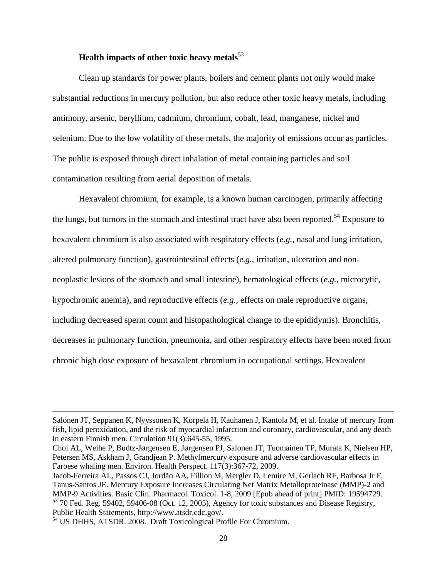# **Health impacts of other toxic heavy metals**<sup>53</sup>

Clean up standards for power plants, boilers and cement plants not only would make substantial reductions in mercury pollution, but also reduce other toxic heavy metals, including antimony, arsenic, beryllium, cadmium, chromium, cobalt, lead, manganese, nickel and selenium. Due to the low volatility of these metals, the majority of emissions occur as particles. The public is exposed through direct inhalation of metal containing particles and soil contamination resulting from aerial deposition of metals.

Hexavalent chromium, for example, is a known human carcinogen, primarily affecting the lungs, but tumors in the stomach and intestinal tract have also been reported.<sup>54</sup> Exposure to hexavalent chromium is also associated with respiratory effects (*e.g.*, nasal and lung irritation, altered pulmonary function), gastrointestinal effects (*e.g.*, irritation, ulceration and nonneoplastic lesions of the stomach and small intestine), hematological effects (*e.g.*, microcytic, hypochromic anemia), and reproductive effects (*e.g.*, effects on male reproductive organs, including decreased sperm count and histopathological change to the epididymis). Bronchitis, decreases in pulmonary function, pneumonia, and other respiratory effects have been noted from chronic high dose exposure of hexavalent chromium in occupational settings. Hexavalent

l

Salonen JT, Seppanen K, Nyyssonen K, Korpela H, Kauhanen J, Kantola M, et al. Intake of mercury from fish, lipid peroxidation, and the risk of myocardial infarction and coronary, cardiovascular, and any death in eastern Finnish men. Circulation 91(3):645-55, 1995.

Choi AL, Weihe P, Budtz-Jørgensen E, Jørgensen PJ, Salonen JT, Tuomainen TP, Murata K, Nielsen HP, Petersen MS, Askham J, Grandjean P. Methylmercury exposure and adverse cardiovascular effects in Faroese whaling men. Environ. Health Perspect. 117(3):367-72, 2009.

Jacob-Ferreira AL, Passos CJ, Jordão AA, Fillion M, Mergler D, Lemire M, Gerlach RF, Barbosa Jr F, Tanus-Santos JE. Mercury Exposure Increases Circulating Net Matrix Metalloproteinase (MMP)-2 and MMP-9 Activities. Basic Clin. Pharmacol. Toxicol. 1-8, 2009 [Epub ahead of print] PMID: 19594729. <sup>53</sup> 70 Fed. Reg. 59402, 59406-08 (Oct. 12, 2005), Agency for toxic substances and Disease Registry, Public Health Statements, http://www.atsdr.cdc.gov/.

<sup>54</sup> US DHHS, ATSDR. 2008. Draft Toxicological Profile For Chromium.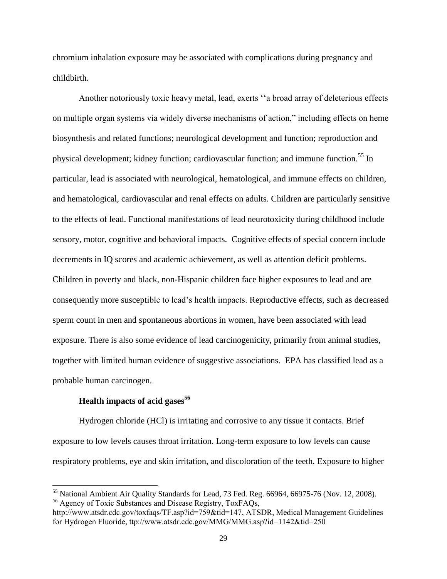chromium inhalation exposure may be associated with complications during pregnancy and childbirth.

Another notoriously toxic heavy metal, lead, exerts "a broad array of deleterious effects on multiple organ systems via widely diverse mechanisms of action," including effects on heme biosynthesis and related functions; neurological development and function; reproduction and physical development; kidney function; cardiovascular function; and immune function.<sup>55</sup> In particular, lead is associated with neurological, hematological, and immune effects on children, and hematological, cardiovascular and renal effects on adults. Children are particularly sensitive to the effects of lead. Functional manifestations of lead neurotoxicity during childhood include sensory, motor, cognitive and behavioral impacts. Cognitive effects of special concern include decrements in IQ scores and academic achievement, as well as attention deficit problems. Children in poverty and black, non-Hispanic children face higher exposures to lead and are consequently more susceptible to lead's health impacts. Reproductive effects, such as decreased sperm count in men and spontaneous abortions in women, have been associated with lead exposure. There is also some evidence of lead carcinogenicity, primarily from animal studies, together with limited human evidence of suggestive associations. EPA has classified lead as a probable human carcinogen.

## **Health impacts of acid gases<sup>56</sup>**

l

Hydrogen chloride (HCl) is irritating and corrosive to any tissue it contacts. Brief exposure to low levels causes throat irritation. Long-term exposure to low levels can cause respiratory problems, eye and skin irritation, and discoloration of the teeth. Exposure to higher

 $<sup>55</sup>$  National Ambient Air Quality Standards for Lead, 73 Fed. Reg. 66964, 66975-76 (Nov. 12, 2008).</sup> <sup>56</sup> Agency of Toxic Substances and Disease Registry, ToxFAQs,

[http://www.atsdr.cdc.gov/toxfaqs/TF.asp?id=759&tid=147,](http://www.atsdr.cdc.gov/toxfaqs/TF.asp?id=759&tid=147) ATSDR, Medical Management Guidelines for Hydrogen Fluoride, ttp://www.atsdr.cdc.gov/MMG/MMG.asp?id=1142&tid=250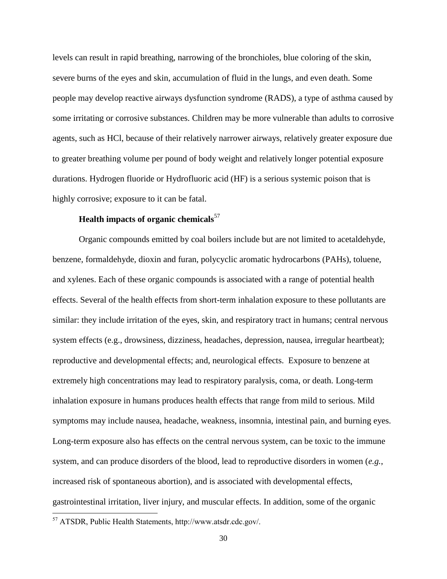levels can result in rapid breathing, narrowing of the bronchioles, blue coloring of the skin, severe burns of the eyes and skin, accumulation of fluid in the lungs, and even death. Some people may develop reactive airways dysfunction syndrome (RADS), a type of asthma caused by some irritating or corrosive substances. Children may be more vulnerable than adults to corrosive agents, such as HCl, because of their relatively narrower airways, relatively greater exposure due to greater breathing volume per pound of body weight and relatively longer potential exposure durations. Hydrogen fluoride or Hydrofluoric acid (HF) is a serious systemic poison that is highly corrosive; exposure to it can be fatal.

# **Health impacts of organic chemicals**<sup>57</sup>

Organic compounds emitted by coal boilers include but are not limited to acetaldehyde, benzene, formaldehyde, dioxin and furan, polycyclic aromatic hydrocarbons (PAHs), toluene, and xylenes. Each of these organic compounds is associated with a range of potential health effects. Several of the health effects from short-term inhalation exposure to these pollutants are similar: they include irritation of the eyes, skin, and respiratory tract in humans; central nervous system effects (e.g., drowsiness, dizziness, headaches, depression, nausea, irregular heartbeat); reproductive and developmental effects; and, neurological effects. Exposure to benzene at extremely high concentrations may lead to respiratory paralysis, coma, or death. Long-term inhalation exposure in humans produces health effects that range from mild to serious. Mild symptoms may include nausea, headache, weakness, insomnia, intestinal pain, and burning eyes. Long-term exposure also has effects on the central nervous system, can be toxic to the immune system, and can produce disorders of the blood, lead to reproductive disorders in women (*e.g.*, increased risk of spontaneous abortion), and is associated with developmental effects, gastrointestinal irritation, liver injury, and muscular effects. In addition, some of the organic

<sup>57</sup> ATSDR, Public Health Statements, http://www.atsdr.cdc.gov/.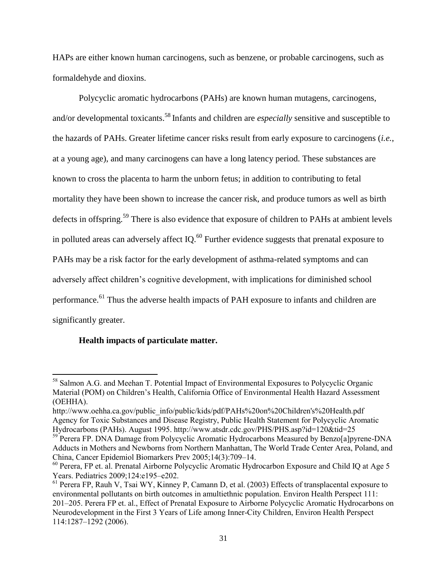HAPs are either known human carcinogens, such as benzene, or probable carcinogens, such as formaldehyde and dioxins.

Polycyclic aromatic hydrocarbons (PAHs) are known human mutagens, carcinogens, and/or developmental toxicants.<sup>58</sup> Infants and children are *especially* sensitive and susceptible to the hazards of PAHs. Greater lifetime cancer risks result from early exposure to carcinogens (*i.e.*, at a young age), and many carcinogens can have a long latency period. These substances are known to cross the placenta to harm the unborn fetus; in addition to contributing to fetal mortality they have been shown to increase the cancer risk, and produce tumors as well as birth defects in offspring.<sup>59</sup> There is also evidence that exposure of children to PAHs at ambient levels in polluted areas can adversely affect IQ. $^{60}$  Further evidence suggests that prenatal exposure to PAHs may be a risk factor for the early development of asthma-related symptoms and can adversely affect children's cognitive development, with implications for diminished school performance.<sup>61</sup> Thus the adverse health impacts of PAH exposure to infants and children are significantly greater.

## **Health impacts of particulate matter.**

<sup>&</sup>lt;sup>58</sup> Salmon A.G. and Meehan T. Potential Impact of Environmental Exposures to Polycyclic Organic Material (POM) on Children's Health, California Office of Environmental Health Hazard Assessment (OEHHA).

[http://www.oehha.ca.gov/public\\_info/public/kids/pdf/PAHs%20on%20Children's%20Health.pdf](http://www.oehha.ca.gov/public_info/public/kids/pdf/PAHs%20on%20Children) Agency for Toxic Substances and Disease Registry, Public Health Statement for Polycyclic Aromatic Hydrocarbons (PAHs). August 1995. http://www.atsdr.cdc.gov/PHS/PHS.asp?id=120&tid=25

<sup>&</sup>lt;sup>59</sup> Perera FP. DNA Damage from Polycyclic Aromatic Hydrocarbons Measured by Benzo[a]pyrene-DNA Adducts in Mothers and Newborns from Northern Manhattan, The World Trade Center Area, Poland, and China, Cancer Epidemiol Biomarkers Prev 2005;14(3):709–14.

 $60$  Perera, FP et. al. Prenatal Airborne Polycyclic Aromatic Hydrocarbon Exposure and Child IQ at Age 5 Years. Pediatrics 2009;124:e195–e202.

<sup>61</sup> Perera FP, Rauh V, Tsai WY, Kinney P, Camann D, et al. (2003) Effects of transplacental exposure to environmental pollutants on birth outcomes in amultiethnic population. Environ Health Perspect 111: 201–205. Perera FP et. al., Effect of Prenatal Exposure to Airborne Polycyclic Aromatic Hydrocarbons on Neurodevelopment in the First 3 Years of Life among Inner-City Children, Environ Health Perspect 114:1287–1292 (2006).